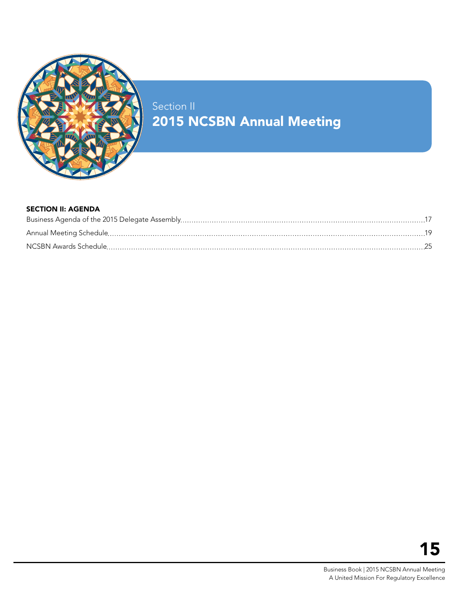

# Section II 2015 NCSBN Annual Meeting

# SECTION II: AGENDA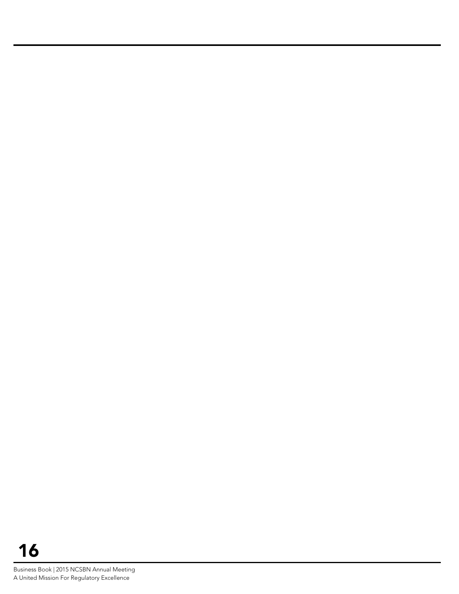# 16 Business Book | 2015 NCSBN Annual Meeting A United Mission For Regulatory Excellence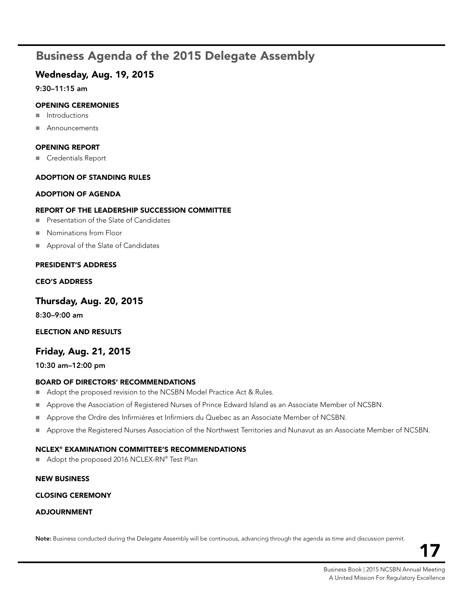# <span id="page-2-0"></span>Business Agenda of the 2015 Delegate Assembly

## Wednesday, Aug. 19, 2015

9:30–11:15 am

#### OPENING CEREMONIES

- **Introductions**
- Announcements

#### OPENING REPORT

Credentials Report

#### ADOPTION OF STANDING RULES

#### ADOPTION OF AGENDA

#### REPORT OF THE LEADERSHIP SUCCESSION COMMITTEE

- **Presentation of the Slate of Candidates**
- Nominations from Floor
- Approval of the Slate of Candidates

#### PRESIDENT'S ADDRESS

#### CEO'S ADDRESS

## Thursday, Aug. 20, 2015

8:30–9:00 am

#### ELECTION AND RESULTS

## Friday, Aug. 21, 2015

10:30 am–12:00 pm

#### BOARD OF DIRECTORS' RECOMMENDATIONS

- Adopt the proposed revision to the NCSBN Model Practice Act & Rules.
- Approve the Association of Registered Nurses of Prince Edward Island as an Associate Member of NCSBN.
- Approve the Ordre des Infirmiéres et Infirmiers du Quebec as an Associate Member of NCSBN.
- Approve the Registered Nurses Association of the Northwest Territories and Nunavut as an Associate Member of NCSBN.

#### NCLEX® EXAMINATION COMMITTEE'S RECOMMENDATIONS

■ Adopt the proposed 2016 NCLEX-RN® Test Plan

#### NEW BUSINESS

#### CLOSING CEREMONY

#### ADJOURNMENT

Note: Business conducted during the Delegate Assembly will be continuous, advancing through the agenda as time and discussion permit.

17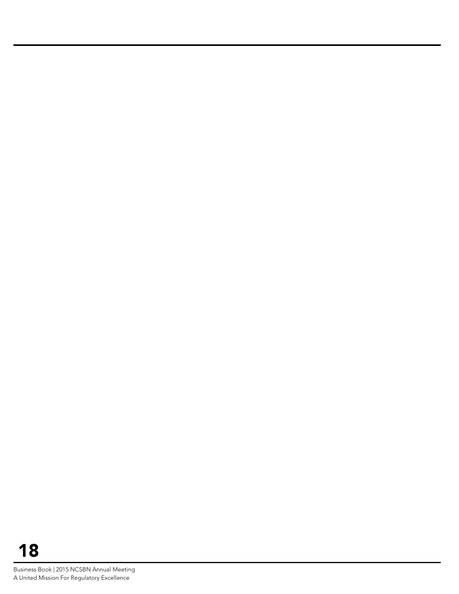## Business Book | 2015 NCSBN Annual Meeting A United Mission For Regulatory Excellence

18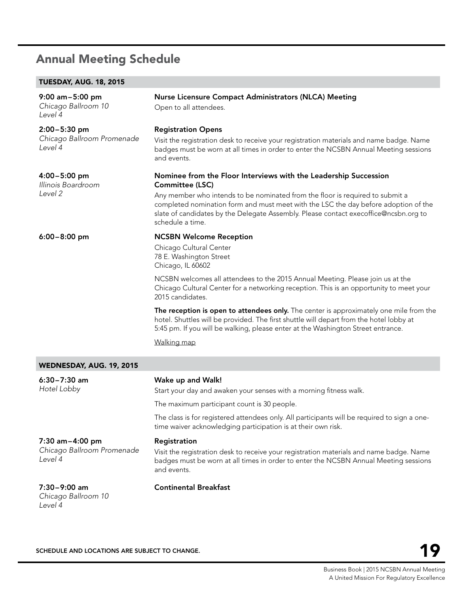# <span id="page-4-0"></span>Annual Meeting Schedule

#### TUESDAY, AUG. 18, 2015

| $9:00$ am $-5:00$ pm<br>Chicago Ballroom 10<br>Level 4   | <b>Nurse Licensure Compact Administrators (NLCA) Meeting</b><br>Open to all attendees.                                                                                                                                                                                                                                                                                         |
|----------------------------------------------------------|--------------------------------------------------------------------------------------------------------------------------------------------------------------------------------------------------------------------------------------------------------------------------------------------------------------------------------------------------------------------------------|
| 2:00-5:30 pm<br>Chicago Ballroom Promenade<br>Level 4    | <b>Registration Opens</b><br>Visit the registration desk to receive your registration materials and name badge. Name<br>badges must be worn at all times in order to enter the NCSBN Annual Meeting sessions<br>and events.                                                                                                                                                    |
| $4:00 - 5:00$ pm<br>Illinois Boardroom<br>Level 2        | Nominee from the Floor Interviews with the Leadership Succession<br><b>Committee (LSC)</b><br>Any member who intends to be nominated from the floor is required to submit a<br>completed nomination form and must meet with the LSC the day before adoption of the<br>slate of candidates by the Delegate Assembly. Please contact execoffice@ncsbn.org to<br>schedule a time. |
| $6:00 - 8:00$ pm                                         | <b>NCSBN Welcome Reception</b><br>Chicago Cultural Center<br>78 E. Washington Street<br>Chicago, IL 60602                                                                                                                                                                                                                                                                      |
|                                                          | NCSBN welcomes all attendees to the 2015 Annual Meeting. Please join us at the<br>Chicago Cultural Center for a networking reception. This is an opportunity to meet your<br>2015 candidates.                                                                                                                                                                                  |
|                                                          | The reception is open to attendees only. The center is approximately one mile from the<br>hotel. Shuttles will be provided. The first shuttle will depart from the hotel lobby at<br>5:45 pm. If you will be walking, please enter at the Washington Street entrance.                                                                                                          |
|                                                          | Walking map                                                                                                                                                                                                                                                                                                                                                                    |
| WEDNESDAY, AUG. 19, 2015                                 |                                                                                                                                                                                                                                                                                                                                                                                |
| $6:30 - 7:30$ am<br>Hotel Lobby                          | Wake up and Walk!<br>Start your day and awaken your senses with a morning fitness walk.                                                                                                                                                                                                                                                                                        |
|                                                          | The maximum participant count is 30 people.                                                                                                                                                                                                                                                                                                                                    |
|                                                          | The class is for registered attendees only. All participants will be required to sign a one-<br>time waiver acknowledging participation is at their own risk.                                                                                                                                                                                                                  |
| 7:30 am-4:00 pm<br>Chicago Ballroom Promenade<br>Level 4 | Registration<br>Visit the registration desk to receive your registration materials and name badge. Name<br>badges must be worn at all times in order to enter the NCSBN Annual Meeting sessions<br>and events.                                                                                                                                                                 |
| 7:30-9:00 am<br>Chicago Ballroom 10<br>Level 4           | <b>Continental Breakfast</b>                                                                                                                                                                                                                                                                                                                                                   |

SCHEDULE AND LOCATIONS ARE SUBJECT TO CHANGE.

19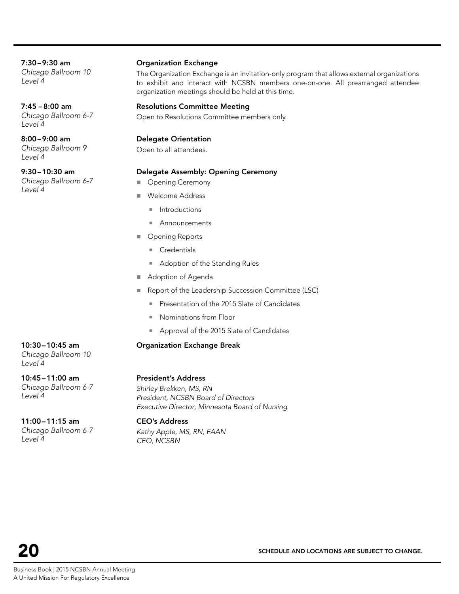7:30–9:30 am *Chicago Ballroom 10 Level 4*

#### $7:45 - 8:00$  am *Chicago Ballroom 6-7 Level 4*

8:00–9:00 am *Chicago Ballroom 9 Level 4*

#### 9:30–10:30 am

*Chicago Ballroom 6-7 Level 4*

#### Organization Exchange

The Organization Exchange is an invitation-only program that allows external organizations to exhibit and interact with NCSBN members one-on-one. All prearranged attendee organization meetings should be held at this time.

#### Resolutions Committee Meeting

Open to Resolutions Committee members only.

#### Delegate Orientation

Open to all attendees.

#### Delegate Assembly: Opening Ceremony

- **Dening Ceremony**
- Welcome Address
	- **Introductions**
	- **Announcements**
- Opening Reports
	- Credentials
	- **Adoption of the Standing Rules**
- Adoption of Agenda
- Report of the Leadership Succession Committee (LSC)
	- Presentation of the 2015 Slate of Candidates
	- **Nominations from Floor**
	- **Approval of the 2015 Slate of Candidates**

#### Organization Exchange Break

#### President's Address

*Shirley Brekken, MS, RN President, NCSBN Board of Directors Executive Director, Minnesota Board of Nursing*

#### CEO's Address

*Kathy Apple, MS, RN, FAAN CEO, NCSBN*

10:45–11:00 am *Chicago Ballroom 6-7 Level 4*

#### 11:00–11:15 am *Chicago Ballroom 6-7 Level 4*

SCHEDULE AND LOCATIONS ARE SUBJECT TO CHANGE.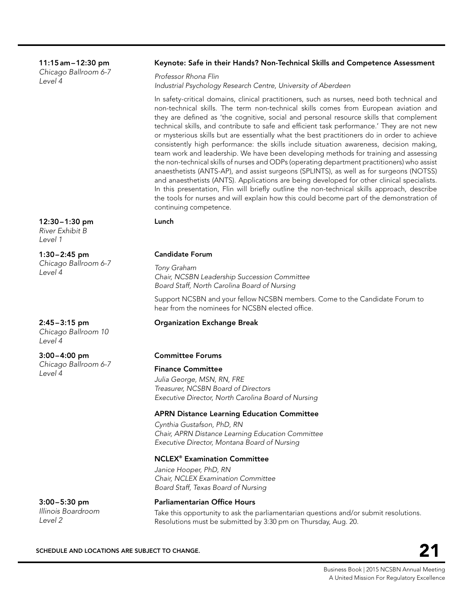#### 11:15am–12:30 pm

*Chicago Ballroom 6-7 Level 4*

#### Keynote: Safe in their Hands? Non-Technical Skills and Competence Assessment

#### *Professor Rhona Flin*

*Industrial Psychology Research Centre, University of Aberdeen* 

In safety-critical domains, clinical practitioners, such as nurses, need both technical and non-technical skills. The term non-technical skills comes from European aviation and they are defined as 'the cognitive, social and personal resource skills that complement technical skills, and contribute to safe and efficient task performance.' They are not new or mysterious skills but are essentially what the best practitioners do in order to achieve consistently high performance: the skills include situation awareness, decision making, team work and leadership. We have been developing methods for training and assessing the non-technical skills of nurses and ODPs (operating department practitioners) who assist anaesthetists (ANTS-AP), and assist surgeons (SPLINTS), as well as for surgeons (NOTSS) and anaesthetists (ANTS). Applications are being developed for other clinical specialists. In this presentation, Flin will briefly outline the non-technical skills approach, describe the tools for nurses and will explain how this could become part of the demonstration of continuing competence.

#### Lunch

#### Candidate Forum

*Tony Graham Chair, NCSBN Leadership Succession Committee Board Staff, North Carolina Board of Nursing* 

Support NCSBN and your fellow NCSBN members. Come to the Candidate Forum to hear from the nominees for NCSBN elected office.

#### Organization Exchange Break

#### Committee Forums

#### Finance Committee

*Julia George, MSN, RN, FRE Treasurer, NCSBN Board of Directors Executive Director, North Carolina Board of Nursing*

#### APRN Distance Learning Education Committee

*Cynthia Gustafson, PhD, RN Chair, APRN Distance Learning Education Committee Executive Director, Montana Board of Nursing*

#### NCLEX® Examination Committee

*Janice Hooper, PhD, RN Chair, NCLEX Examination Committee Board Staff, Texas Board of Nursing*

#### Parliamentarian Office Hours

Take this opportunity to ask the parliamentarian questions and/or submit resolutions. Resolutions must be submitted by 3:30 pm on Thursday, Aug. 20.

12:30–1:30 pm *River Exhibit B Level 1*

1:30–2:45 pm *Chicago Ballroom 6-7 Level 4*

2:45–3:15 pm *Chicago Ballroom 10 Level 4*

3:00–4:00 pm *Chicago Ballroom 6-7 Level 4*

3:00–5:30 pm *Illinois Boardroom Level 2*

21

SCHEDULE AND LOCATIONS ARE SUBJECT TO CHANGE.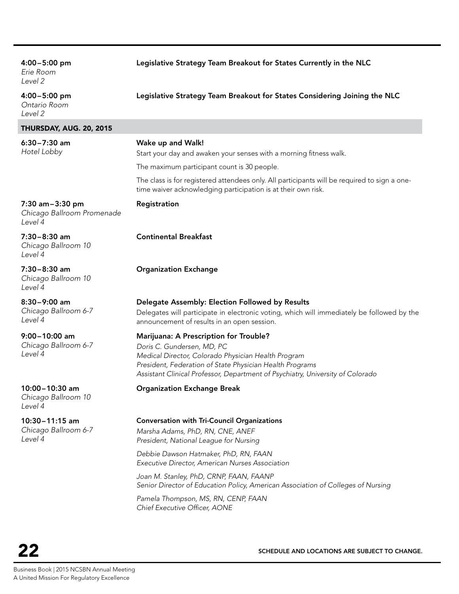4:00–5:00 pm *Erie Room Level 2*

4:00–5:00 pm *Ontario Room Level 2*

#### THURSDAY, AUG. 20, 2015

6:30–7:30 am *Hotel Lobby*

Legislative Strategy Team Breakout for States Currently in the NLC

Legislative Strategy Team Breakout for States Considering Joining the NLC

#### Wake up and Walk!

Start your day and awaken your senses with a morning fitness walk.

The maximum participant count is 30 people.

The class is for registered attendees only. All participants will be required to sign a onetime waiver acknowledging participation is at their own risk.

#### Registration

Continental Breakfast

Organization Exchange

7:30 am–3:30 pm *Chicago Ballroom Promenade Level 4*

7:30–8:30 am *Chicago Ballroom 10 Level 4*

7:30–8:30 am *Chicago Ballroom 10 Level 4*

8:30–9:00 am *Chicago Ballroom 6-7 Level 4*

9:00–10:00 am *Chicago Ballroom 6-7 Level 4*

10:00–10:30 am *Chicago Ballroom 10 Level 4*

10:30–11:15 am *Chicago Ballroom 6-7 Level 4*

## Delegate Assembly: Election Followed by Results

Delegates will participate in electronic voting, which will immediately be followed by the announcement of results in an open session.

#### Marijuana: A Prescription for Trouble?

*Doris C. Gundersen, MD, PC Medical Director, Colorado Physician Health Program President, Federation of State Physician Health Programs Assistant Clinical Professor, Department of Psychiatry, University of Colorado*

#### Organization Exchange Break

#### Conversation with Tri-Council Organizations

*Marsha Adams, PhD, RN, CNE, ANEF President, National League for Nursing*

*Debbie Dawson Hatmaker, PhD, RN, FAAN Executive Director, American Nurses Association*

*Joan M. Stanley, PhD, CRNP, FAAN, FAANP Senior Director of Education Policy, American Association of Colleges of Nursing*

*Pamela Thompson, MS, RN, CENP, FAAN Chief Executive Officer, AONE*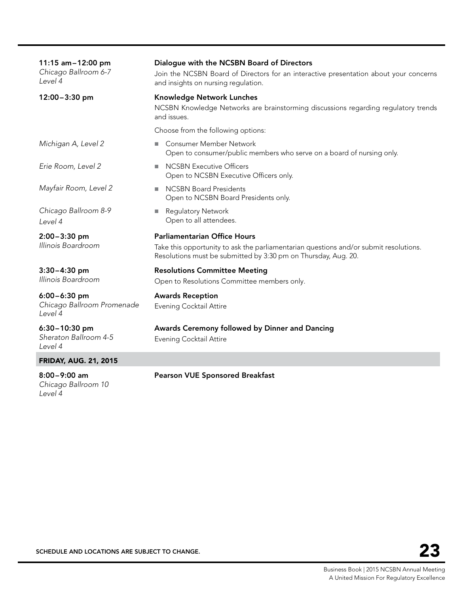| 11:15 am-12:00 pm<br>Chicago Ballroom 6-7<br>Level 4      | Dialogue with the NCSBN Board of Directors<br>Join the NCSBN Board of Directors for an interactive presentation about your concerns<br>and insights on nursing regulation.                     |
|-----------------------------------------------------------|------------------------------------------------------------------------------------------------------------------------------------------------------------------------------------------------|
| 12:00-3:30 pm                                             | <b>Knowledge Network Lunches</b><br>NCSBN Knowledge Networks are brainstorming discussions regarding regulatory trends<br>and issues.                                                          |
|                                                           | Choose from the following options:                                                                                                                                                             |
| Michigan A, Level 2                                       | <b>Consumer Member Network</b><br>٠<br>Open to consumer/public members who serve on a board of nursing only.                                                                                   |
| Erie Room, Level 2                                        | <b>NCSBN Executive Officers</b><br>a a<br>Open to NCSBN Executive Officers only.                                                                                                               |
| Mayfair Room, Level 2                                     | <b>NCSBN Board Presidents</b><br>a a<br>Open to NCSBN Board Presidents only.                                                                                                                   |
| Chicago Ballroom 8-9<br>Level 4                           | <b>Regulatory Network</b><br>×<br>Open to all attendees.                                                                                                                                       |
| $2:00 - 3:30$ pm<br>Illinois Boardroom                    | <b>Parliamentarian Office Hours</b><br>Take this opportunity to ask the parliamentarian questions and/or submit resolutions.<br>Resolutions must be submitted by 3:30 pm on Thursday, Aug. 20. |
| $3:30 - 4:30$ pm<br>Illinois Boardroom                    | <b>Resolutions Committee Meeting</b><br>Open to Resolutions Committee members only.                                                                                                            |
| $6:00 - 6:30$ pm<br>Chicago Ballroom Promenade<br>Level 4 | <b>Awards Reception</b><br><b>Evening Cocktail Attire</b>                                                                                                                                      |
| $6:30 - 10:30$ pm<br>Sheraton Ballroom 4-5<br>Level 4     | Awards Ceremony followed by Dinner and Dancing<br><b>Evening Cocktail Attire</b>                                                                                                               |
| <b>FRIDAY, AUG. 21, 2015</b>                              |                                                                                                                                                                                                |

8:00–9:00 am *Chicago Ballroom 10 Level 4* 

Pearson VUE Sponsored Breakfast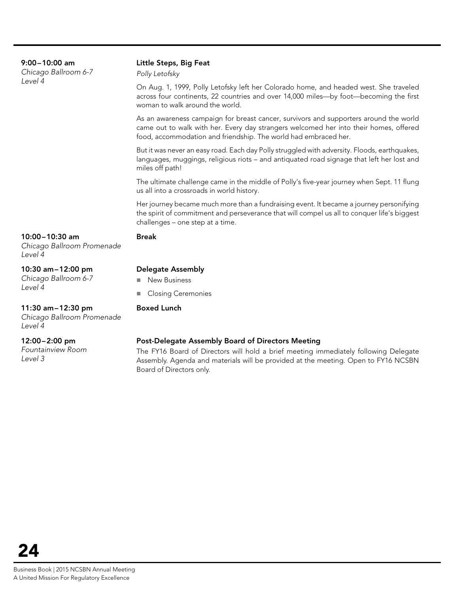9:00–10:00 am *Chicago Ballroom 6-7 Level 4*

#### Little Steps, Big Feat *Polly Letofsky*

On Aug. 1, 1999, Polly Letofsky left her Colorado home, and headed west. She traveled across four continents, 22 countries and over 14,000 miles—by foot—becoming the first woman to walk around the world.

As an awareness campaign for breast cancer, survivors and supporters around the world came out to walk with her. Every day strangers welcomed her into their homes, offered food, accommodation and friendship. The world had embraced her.

But it was never an easy road. Each day Polly struggled with adversity. Floods, earthquakes, languages, muggings, religious riots – and antiquated road signage that left her lost and miles off path!

The ultimate challenge came in the middle of Polly's five-year journey when Sept. 11 flung us all into a crossroads in world history.

Her journey became much more than a fundraising event. It became a journey personifying the spirit of commitment and perseverance that will compel us all to conquer life's biggest challenges – one step at a time.

#### Break

*Chicago Ballroom Promenade Level 4*

10:30 am–12:00 pm *Chicago Ballroom 6-7 Level 4*

10:00–10:30 am

11:30 am–12:30 pm *Chicago Ballroom Promenade Level 4*

12:00–2:00 pm *Fountainview Room Level 3*

#### Delegate Assembly

- New Business
- Closing Ceremonies

#### Boxed Lunch

#### Post-Delegate Assembly Board of Directors Meeting

The FY16 Board of Directors will hold a brief meeting immediately following Delegate Assembly. Agenda and materials will be provided at the meeting. Open to FY16 NCSBN Board of Directors only.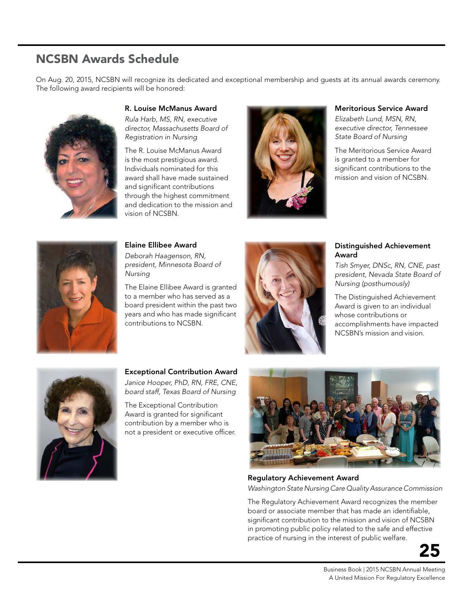# <span id="page-10-0"></span>NCSBN Awards Schedule

On Aug. 20, 2015, NCSBN will recognize its dedicated and exceptional membership and guests at its annual awards ceremony. The following award recipients will be honored:



#### R. Louise McManus Award

*Rula Harb, MS, RN, executive director, Massachusetts Board of Registration in Nursing* 

The R. Louise McManus Award is the most prestigious award. Individuals nominated for this award shall have made sustained and significant contributions through the highest commitment and dedication to the mission and vision of NCSBN.



#### Meritorious Service Award

*Elizabeth Lund, MSN, RN, executive director, Tennessee State Board of Nursing*

The Meritorious Service Award is granted to a member for significant contributions to the mission and vision of NCSBN.



Elaine Ellibee Award *Deborah Haagenson, RN, president, Minnesota Board of Nursing*

The Elaine Ellibee Award is granted to a member who has served as a board president within the past two years and who has made significant contributions to NCSBN.



#### Distinguished Achievement Award

*Tish Smyer, DNSc, RN, CNE, past president, Nevada State Board of Nursing (posthumously)*

The Distinguished Achievement Award is given to an individual whose contributions or accomplishments have impacted NCSBN's mission and vision.



Exceptional Contribution Award

*Janice Hooper, PhD, RN, FRE, CNE, board staff, Texas Board of Nursing*

The Exceptional Contribution Award is granted for significant contribution by a member who is not a president or executive officer.



## Regulatory Achievement Award

*Washington State Nursing Care Quality Assurance Commission* 

The Regulatory Achievement Award recognizes the member board or associate member that has made an identifiable, significant contribution to the mission and vision of NCSBN in promoting public policy related to the safe and effective practice of nursing in the interest of public welfare.